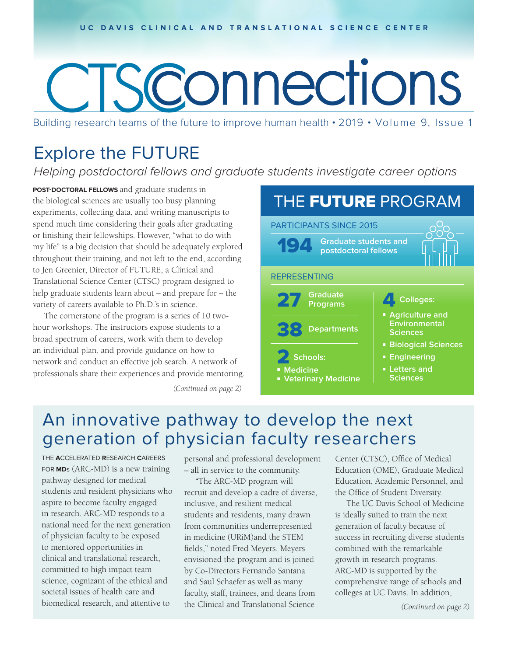# Sconnections

Building research teams of the future to improve human health • 2019 • Volume 9, Issue 1

## Explore the FUTURE

Helping postdoctoral fellows and graduate students investigate career options

**POST-DOCTORAL FELLOWS** and graduate students in the biological sciences are usually too busy planning experiments, collecting data, and writing manuscripts to spend much time considering their goals after graduating or finishing their fellowships. However, "what to do with my life" is a big decision that should be adequately explored throughout their training, and not left to the end, according to Jen Greenier, Director of FUTURE, a Clinical and Translational Science Center (CTSC) program designed to help graduate students learn about – and prepare for – the variety of careers available to Ph.D.'s in science.

The cornerstone of the program is a series of 10 twohour workshops. The instructors expose students to a broad spectrum of careers, work with them to develop an individual plan, and provide guidance on how to network and conduct an effective job search. A network of professionals share their experiences and provide mentoring.

*(Continued on page 2)*

#### PARTICIPANTS SINCE 2015 **Graduate students and postdoctoral fellows** THE FUTURE PROGRAM REPRESENTING 27 **Graduate Programs** 38 **Departments** Schools: **Medicine Veterinary Medicine** 4 **Colleges: Agriculture and Environmental Sciences E** Biological Sciences **Engineering Example 1 Sciences**

## An innovative pathway to develop the next generation of physician faculty researchers

THE **A**CCELERATED **R**ESEARCH **C**AREERS FOR **MD**s (ARC-MD) is a new training pathway designed for medical students and resident physicians who aspire to become faculty engaged in research. ARC-MD responds to a national need for the next generation of physician faculty to be exposed to mentored opportunities in clinical and translational research, committed to high impact team science, cognizant of the ethical and societal issues of health care and biomedical research, and attentive to

personal and professional development – all in service to the community.

"The ARC-MD program will recruit and develop a cadre of diverse, inclusive, and resilient medical students and residents, many drawn from communities underrepresented in medicine (URiM)and the STEM fields," noted Fred Meyers. Meyers envisioned the program and is joined by Co-Directors Fernando Santana and Saul Schaefer as well as many faculty, staff, trainees, and deans from the Clinical and Translational Science

Center (CTSC), Office of Medical Education (OME), Graduate Medical Education, Academic Personnel, and the Office of Student Diversity.

The UC Davis School of Medicine is ideally suited to train the next generation of faculty because of success in recruiting diverse students combined with the remarkable growth in research programs. ARC-MD is supported by the comprehensive range of schools and colleges at UC Davis. In addition,

*(Continued on page 2)*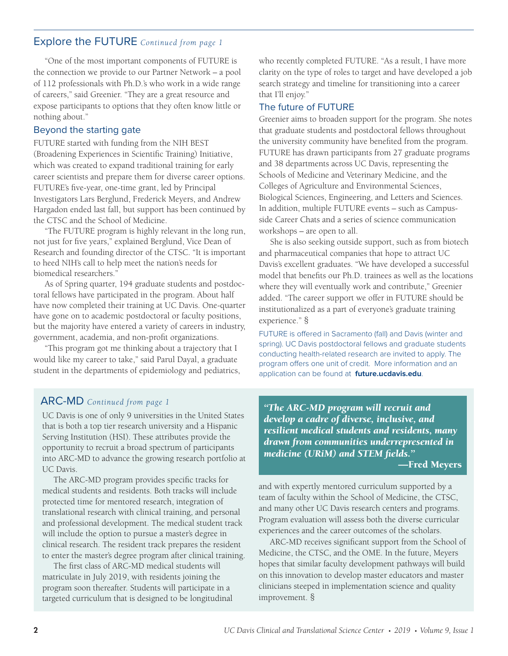### Explore the FUTURE *Continued from page 1*

"One of the most important components of FUTURE is the connection we provide to our Partner Network – a pool of 112 professionals with Ph.D.'s who work in a wide range of careers," said Greenier. "They are a great resource and expose participants to options that they often know little or nothing about."

#### Beyond the starting gate

FUTURE started with funding from the NIH BEST (Broadening Experiences in Scientific Training) Initiative, which was created to expand traditional training for early career scientists and prepare them for diverse career options. FUTURE's five-year, one-time grant, led by Principal Investigators Lars Berglund, Frederick Meyers, and Andrew Hargadon ended last fall, but support has been continued by the CTSC and the School of Medicine.

"The FUTURE program is highly relevant in the long run, not just for five years," explained Berglund, Vice Dean of Research and founding director of the CTSC. "It is important to heed NIH's call to help meet the nation's needs for biomedical researchers."

As of Spring quarter, 194 graduate students and postdoctoral fellows have participated in the program. About half have now completed their training at UC Davis. One-quarter have gone on to academic postdoctoral or faculty positions, but the majority have entered a variety of careers in industry, government, academia, and non-profit organizations.

"This program got me thinking about a trajectory that I would like my career to take," said Parul Dayal, a graduate student in the departments of epidemiology and pediatrics, who recently completed FUTURE. "As a result, I have more clarity on the type of roles to target and have developed a job search strategy and timeline for transitioning into a career that I'll enjoy."

#### The future of FUTURE

Greenier aims to broaden support for the program. She notes that graduate students and postdoctoral fellows throughout the university community have benefited from the program. FUTURE has drawn participants from 27 graduate programs and 38 departments across UC Davis, representing the Schools of Medicine and Veterinary Medicine, and the Colleges of Agriculture and Environmental Sciences, Biological Sciences, Engineering, and Letters and Sciences. In addition, multiple FUTURE events – such as Campusside Career Chats and a series of science communication workshops – are open to all.

She is also seeking outside support, such as from biotech and pharmaceutical companies that hope to attract UC Davis's excellent graduates. "We have developed a successful model that benefits our Ph.D. trainees as well as the locations where they will eventually work and contribute," Greenier added. "The career support we offer in FUTURE should be institutionalized as a part of everyone's graduate training experience." §

FUTURE is offered in Sacramento (fall) and Davis (winter and spring). UC Davis postdoctoral fellows and graduate students conducting health-related research are invited to apply. The program offers one unit of credit. More information and an application can be found at **future.ucdavis.edu**.

UC Davis is one of only 9 universities in the United States that is both a top tier research university and a Hispanic Serving Institution (HSI). These attributes provide the opportunity to recruit a broad spectrum of participants into ARC-MD to advance the growing research portfolio at UC Davis.

The ARC-MD program provides specific tracks for medical students and residents. Both tracks will include protected time for mentored research, integration of translational research with clinical training, and personal and professional development. The medical student track will include the option to pursue a master's degree in clinical research. The resident track prepares the resident to enter the master's degree program after clinical training.

The first class of ARC-MD medical students will matriculate in July 2019, with residents joining the program soon thereafter. Students will participate in a targeted curriculum that is designed to be longitudinal

ARC-MD *Continued from page 1 "The ARC-MD program will recruit and develop a cadre of diverse, inclusive, and resilient medical students and residents, many drawn from communities underrepresented in medicine (URiM) and STEM fields."*

—Fred Meyers

and with expertly mentored curriculum supported by a team of faculty within the School of Medicine, the CTSC, and many other UC Davis research centers and programs. Program evaluation will assess both the diverse curricular experiences and the career outcomes of the scholars.

ARC-MD receives significant support from the School of Medicine, the CTSC, and the OME. In the future, Meyers hopes that similar faculty development pathways will build on this innovation to develop master educators and master clinicians steeped in implementation science and quality improvement. §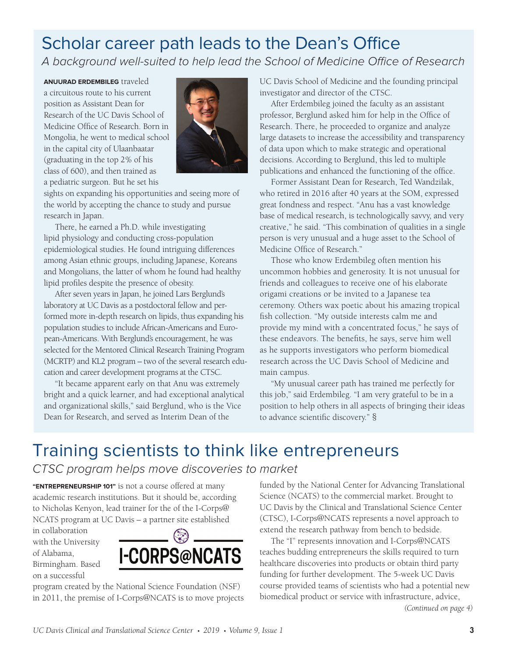## Scholar career path leads to the Dean's Office

A background well-suited to help lead the School of Medicine Office of Research

**ANUURAD ERDEMBILEG** traveled a circuitous route to his current position as Assistant Dean for Research of the UC Davis School of Medicine Office of Research. Born in Mongolia, he went to medical school in the capital city of Ulaanbaatar (graduating in the top 2% of his class of 600), and then trained as a pediatric surgeon. But he set his



sights on expanding his opportunities and seeing more of the world by accepting the chance to study and pursue research in Japan.

There, he earned a Ph.D. while investigating lipid physiology and conducting cross-population epidemiological studies. He found intriguing differences among Asian ethnic groups, including Japanese, Koreans and Mongolians, the latter of whom he found had healthy lipid profiles despite the presence of obesity.

After seven years in Japan, he joined Lars Berglund's laboratory at UC Davis as a postdoctoral fellow and performed more in-depth research on lipids, thus expanding his population studies to include African-Americans and European-Americans. With Berglund's encouragement, he was selected for the Mentored Clinical Research Training Program (MCRTP) and KL2 program – two of the several research education and career development programs at the CTSC.

"It became apparent early on that Anu was extremely bright and a quick learner, and had exceptional analytical and organizational skills," said Berglund, who is the Vice Dean for Research, and served as Interim Dean of the

UC Davis School of Medicine and the founding principal investigator and director of the CTSC.

After Erdembileg joined the faculty as an assistant professor, Berglund asked him for help in the Office of Research. There, he proceeded to organize and analyze large datasets to increase the accessibility and transparency of data upon which to make strategic and operational decisions. According to Berglund, this led to multiple publications and enhanced the functioning of the office.

Former Assistant Dean for Research, Ted Wandzilak, who retired in 2016 after 40 years at the SOM, expressed great fondness and respect. "Anu has a vast knowledge base of medical research, is technologically savvy, and very creative," he said. "This combination of qualities in a single person is very unusual and a huge asset to the School of Medicine Office of Research."

Those who know Erdembileg often mention his uncommon hobbies and generosity. It is not unusual for friends and colleagues to receive one of his elaborate origami creations or be invited to a Japanese tea ceremony. Others wax poetic about his amazing tropical fish collection. "My outside interests calm me and provide my mind with a concentrated focus," he says of these endeavors. The benefits, he says, serve him well as he supports investigators who perform biomedical research across the UC Davis School of Medicine and main campus.

"My unusual career path has trained me perfectly for this job," said Erdembileg. "I am very grateful to be in a position to help others in all aspects of bringing their ideas to advance scientific discovery." §

## Training scientists to think like entrepreneurs

CTSC program helps move discoveries to market

**"ENTREPRENEURSHIP 101"** is not a course offered at many academic research institutions. But it should be, according to Nicholas Kenyon, lead trainer for the of the I-Corps@ NCATS program at UC Davis – a partner site established

in collaboration with the University of Alabama, Birmingham. Based on a successful



program created by the National Science Foundation (NSF) in 2011, the premise of I-Corps@NCATS is to move projects funded by the National Center for Advancing Translational Science (NCATS) to the commercial market. Brought to UC Davis by the Clinical and Translational Science Center (CTSC), I-Corps@NCATS represents a novel approach to extend the research pathway from bench to bedside.

The "I" represents innovation and I-Corps@NCATS teaches budding entrepreneurs the skills required to turn healthcare discoveries into products or obtain third party funding for further development. The 5-week UC Davis course provided teams of scientists who had a potential new biomedical product or service with infrastructure, advice, *(Continued on page 4)*